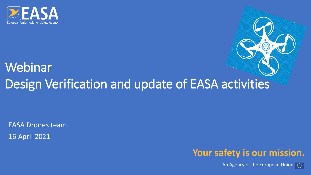

## Webinar Design Verification and update of EASA activities

EASA Drones team 16 April 2021



An Agency of the European Union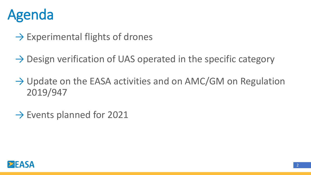

- $\rightarrow$  Experimental flights of drones
- $\rightarrow$  Design verification of UAS operated in the specific category
- $\rightarrow$  Update on the EASA activities and on AMC/GM on Regulation 2019/947
- $\rightarrow$  Events planned for 2021

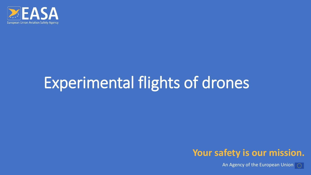

# Experimental flights of drones



An Agency of the European Union  $\boxed{\odot}$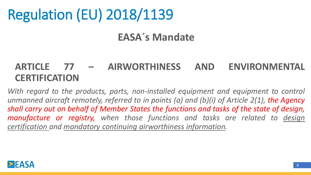# Regulation (EU) 2018/1139

#### **EASA´s Mandate**

#### **ARTICLE 77 – AIRWORTHINESS AND ENVIRONMENTAL CERTIFICATION**

*With regard to the products, parts, non-installed equipment and equipment to control unmanned aircraft remotely, referred to in points (a) and (b)(i) of Article 2(1), the Agency shall carry out on behalf of Member States the functions and tasks of the state of design, manufacture or registry, when those functions and tasks are related to design certification and mandatory continuing airworthiness information.*

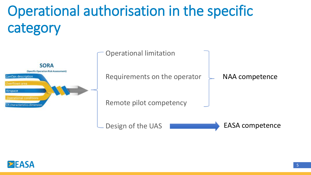# Operational authorisation in the specific category



Operational limitation

Requirements on the operator

Remote pilot competency

Design of the UAS **EXAMPLE 2018** EASA competence

NAA competence

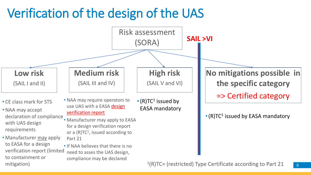## Verification of the design of the UAS

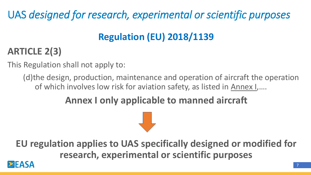UAS *designed for research, experimental or scientific purposes*

## **Regulation (EU) 2018/1139**

### **ARTICLE 2(3)**

This Regulation shall not apply to:

(d)the design, production, maintenance and operation of aircraft the operation of which involves low risk for aviation safety, as listed in Annex I,….

### **Annex I only applicable to manned aircraft**

**EU regulation applies to UAS specifically designed or modified for research, experimental or scientific purposes**

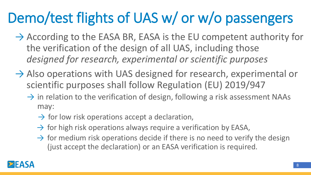# Demo/test flights of UAS w/ or w/o passengers

- $\rightarrow$  According to the EASA BR, EASA is the EU competent authority for the verification of the design of all UAS, including those *designed for research, experimental or scientific purposes*
- $\rightarrow$  Also operations with UAS designed for research, experimental or scientific purposes shall follow Regulation (EU) 2019/947
	- $\rightarrow$  in relation to the verification of design, following a risk assessment NAAs may:
		- $\rightarrow$  for low risk operations accept a declaration,
		- $\rightarrow$  for high risk operations always require a verification by EASA,
		- $\rightarrow$  for medium risk operations decide if there is no need to verify the design (just accept the declaration) or an EASA verification is required.

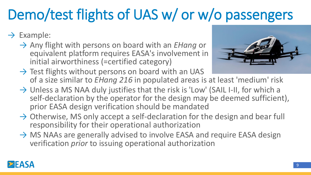# Demo/test flights of UAS w/ or w/o passengers

#### $\rightarrow$  Example:

→ Any flight with persons on board with an *EHang* or equivalent platform requires EASA's involvement in initial airworthiness (=certified category)



- $\rightarrow$  Test flights without persons on board with an UAS of a size similar to *EHang 216* in populated areas is at least 'medium' risk
- $\rightarrow$  Unless a MS NAA duly justifies that the risk is 'Low' (SAIL I-II, for which a self-declaration by the operator for the design may be deemed sufficient), prior EASA design verification should be mandated
- $\rightarrow$  Otherwise, MS only accept a self-declaration for the design and bear full responsibility for their operational authorization
- $\rightarrow$  MS NAAs are generally advised to involve EASA and require EASA design verification *prior* to issuing operational authorization

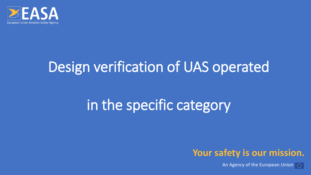

## Design verification of UAS operated

# in the specific category



An Agency of the European Union  $\boxed{\odot}$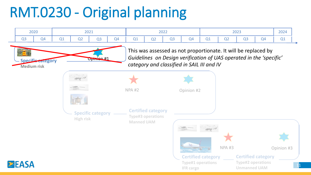# RMT.0230 - Original planning

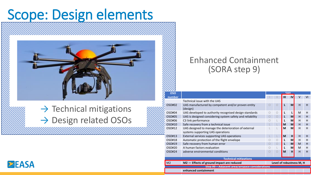## Scope: Design elements



 $\rightarrow$  Technical mitigations → Design related OSOs

#### Enhanced Containment (SORA step 9)

| 7. 7. 7. 7. 7. 7. 1                             |                                                                |                          |                  |   |    |              |    |  |
|-------------------------------------------------|----------------------------------------------------------------|--------------------------|------------------|---|----|--------------|----|--|
| <b>OSO</b>                                      |                                                                | <b>SAII</b>              |                  |   |    |              |    |  |
| number                                          |                                                                |                          |                  | Ш | IV | $\mathsf{V}$ | VI |  |
|                                                 | Technical issue with the UAS                                   |                          |                  |   |    |              |    |  |
| OSO#02                                          | UAS manufactured by competent and/or proven entity<br>(design) | Ω                        |                  |   | M  | H            | н  |  |
| OSO#04                                          | UAS developed to authority recognised design standards         |                          | $\left( \right)$ |   |    | M            | н  |  |
| OSO#05                                          | UAS is designed considering system safety and reliability      |                          |                  | L | M  | H            | H  |  |
| OSO#06                                          | C3 link performance                                            |                          |                  |   | M  | H            | н  |  |
| OSO#10                                          | Safe recovery from a technical issue                           |                          |                  | M | M  | H            | H  |  |
| OSO#12                                          | UAS designed to manage the deterioration of external           |                          |                  | M | M  | H            | н  |  |
|                                                 | systems supporting UAS operations                              |                          |                  |   |    |              |    |  |
| OSO#13                                          | External services supporting UAS operations                    |                          |                  | M | н  | H            | н  |  |
| OSO#18                                          | Automatic protection of the flight envelope                    |                          |                  |   | M  | H            | н  |  |
| OSO#19                                          | Safe recovery from human error                                 |                          | $\bigcap$        |   | M  | M            | H  |  |
| OSO#20                                          | A human factors evaluation                                     |                          |                  |   | M  | M            | н  |  |
| OSO#24                                          | adverse environmental conditions                               | $\bigcap$                | $\bigcap$        | M | H  | H            | H  |  |
|                                                 |                                                                |                          |                  |   |    |              |    |  |
| <b>Technical mitigations</b>                    |                                                                |                          |                  |   |    |              |    |  |
| M <sub>2</sub>                                  | M2 - Effects of ground impact are reduced                      | Level of robustness M, H |                  |   |    |              |    |  |
| Step #9 – Adiacent area/airspace considerations |                                                                |                          |                  |   |    |              |    |  |
|                                                 | enhanced containment                                           |                          |                  |   |    |              |    |  |

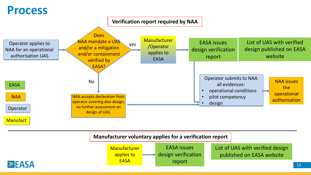### **Process**



#### **Manufacturer voluntary applies for a verification report**



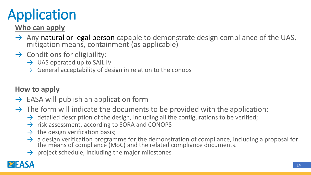# Application

#### **Who can apply**

- $\rightarrow$  Any natural or legal person capable to demonstrate design compliance of the UAS, mitigation means, containment (as applicable)
- $\rightarrow$  Conditions for eligibility:
	- $\rightarrow$  UAS operated up to SAIL IV
	- $\rightarrow$  General acceptability of design in relation to the conops

#### **How to apply**

- $\rightarrow$  EASA will publish an application form
- $\rightarrow$  The form will indicate the documents to be provided with the application:
	- $\rightarrow$  detailed description of the design, including all the configurations to be verified;
	- $\rightarrow$  risk assessment, according to SORA and CONOPS
	- $\rightarrow$  the design verification basis;
	- $\rightarrow$  a design verification programme for the demonstration of compliance, including a proposal for the means of compliance (MoC) and the related compliance documents.
	- $\rightarrow$  project schedule, including the major milestones

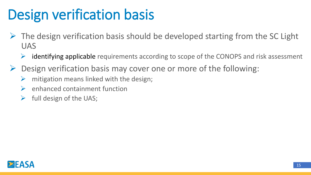# Design verification basis

- $\triangleright$  The design verification basis should be developed starting from the SC Light UAS
	- $\triangleright$  identifying applicable requirements according to scope of the CONOPS and risk assessment
- $\triangleright$  Design verification basis may cover one or more of the following:
	- $\triangleright$  mitigation means linked with the design;
	- $\triangleright$  enhanced containment function
	- $\triangleright$  full design of the UAS;

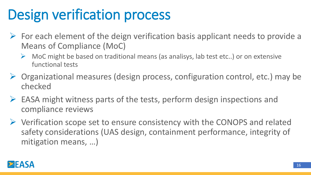# Design verification process

- $\triangleright$  For each element of the deign verification basis applicant needs to provide a Means of Compliance (MoC)
	- $\triangleright$  MoC might be based on traditional means (as analisys, lab test etc..) or on extensive functional tests
- ➢ Organizational measures (design process, configuration control, etc.) may be checked
- ➢ EASA might witness parts of the tests, perform design inspections and compliance reviews
- ➢ Verification scope set to ensure consistency with the CONOPS and related safety considerations (UAS design, containment performance, integrity of mitigation means, …)

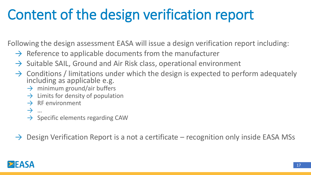# Content of the design verification report

Following the design assessment EASA will issue a design verification report including:

- $\rightarrow$  Reference to applicable documents from the manufacturer
- $\rightarrow$  Suitable SAIL, Ground and Air Risk class, operational environment
- $\rightarrow$  Conditions / limitations under which the design is expected to perform adequately including as applicable e.g.
	- $\rightarrow$  minimum ground/air buffers
	- $\rightarrow$  Limits for density of population
	- $\rightarrow$  RF environment
	- → …
	- $\rightarrow$  Specific elements regarding CAW

 $\rightarrow$  Design Verification Report is a not a certificate – recognition only inside EASA MSs

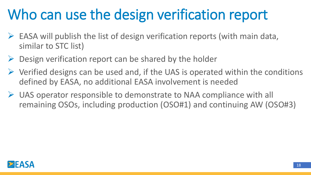# Who can use the design verification report

- $\triangleright$  EASA will publish the list of design verification reports (with main data, similar to STC list)
- $\triangleright$  Design verification report can be shared by the holder
- $\triangleright$  Verified designs can be used and, if the UAS is operated within the conditions defined by EASA, no additional EASA involvement is needed
- $\triangleright$  UAS operator responsible to demonstrate to NAA compliance with all remaining OSOs, including production (OSO#1) and continuing AW (OSO#3)

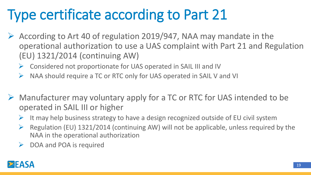# Type certificate according to Part 21

- $\triangleright$  According to Art 40 of regulation 2019/947, NAA may mandate in the operational authorization to use a UAS complaint with Part 21 and Regulation (EU) 1321/2014 (continuing AW)
	- ➢ Considered not proportionate for UAS operated in SAIL III and IV
	- ➢ NAA should require a TC or RTC only for UAS operated in SAIL V and VI
- ➢ Manufacturer may voluntary apply for a TC or RTC for UAS intended to be operated in SAIL III or higher
	- $\triangleright$  It may help business strategy to have a design recognized outside of EU civil system
	- $\triangleright$  Regulation (EU) 1321/2014 (continuing AW) will not be applicable, unless required by the NAA in the operational authorization
	- $\triangleright$  DOA and POA is required

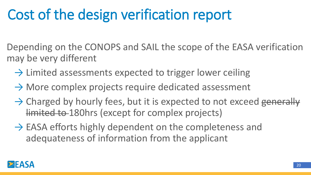# Cost of the design verification report

Depending on the CONOPS and SAIL the scope of the EASA verification may be very different

- $\rightarrow$  Limited assessments expected to trigger lower ceiling
- $\rightarrow$  More complex projects require dedicated assessment
- $\rightarrow$  Charged by hourly fees, but it is expected to not exceed generally limited to 180hrs (except for complex projects)
- $\rightarrow$  EASA efforts highly dependent on the completeness and adequateness of information from the applicant

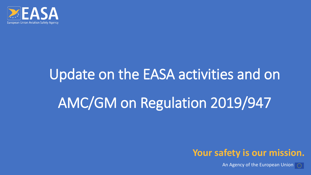

# Update on the EASA activities and on AMC/GM on Regulation 2019/947



An Agency of the European Union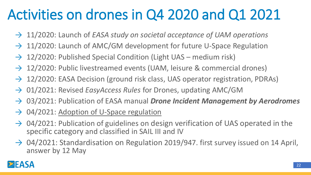# Activities on drones in Q4 2020 and Q1 2021

- → 11/2020: Launch of *EASA study on societal acceptance of UAM operations*
- $\rightarrow$  11/2020: Launch of AMC/GM development for future U-Space Regulation
- $\rightarrow$  12/2020: Published Special Condition (Light UAS medium risk)
- $\rightarrow$  12/2020: Public livestreamed events (UAM, leisure & commercial drones)
- → 12/2020: EASA Decision (ground risk class, UAS operator registration, PDRAs)
- → 01/2021: Revised *EasyAccess Rules* for Drones, updating AMC/GM
- → 03/2021: Publication of EASA manual *Drone Incident Management by Aerodromes*
- $\rightarrow$  04/2021: Adoption of U-Space regulation
- $\rightarrow$  04/2021: Publication of guidelines on design verification of UAS operated in the specific category and classified in SAIL III and IV
- $\rightarrow$  04/2021: Standardisation on Regulation 2019/947. first survey issued on 14 April, answer by 12 May

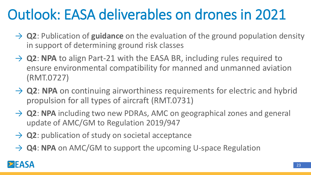# Outlook: EASA deliverables on drones in 2021

- → **Q2**: Publication of guidance on the evaluation of the ground population density in support of determining ground risk classes
- → **Q2: NPA** to align Part-21 with the EASA BR, including rules required to ensure environmental compatibility for manned and unmanned aviation (RMT.0727)
- → **Q2**: NPA on continuing airworthiness requirements for electric and hybrid propulsion for all types of aircraft (RMT.0731)
- → **Q2: NPA** including two new PDRAs, AMC on geographical zones and general update of AMC/GM to Regulation 2019/947
- → **Q2**: publication of study on societal acceptance
- → **Q4: NPA** on AMC/GM to support the upcoming U-space Regulation

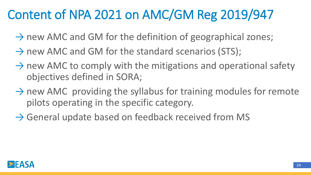## Content of NPA 2021 on AMC/GM Reg 2019/947

- $\rightarrow$  new AMC and GM for the definition of geographical zones;
- $\rightarrow$  new AMC and GM for the standard scenarios (STS);
- $\rightarrow$  new AMC to comply with the mitigations and operational safety objectives defined in SORA;
- $\rightarrow$  new AMC providing the syllabus for training modules for remote pilots operating in the specific category.
- $\rightarrow$  General update based on feedback received from MS

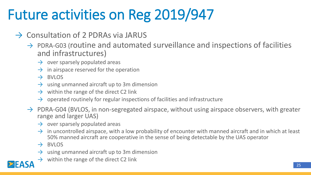# Future activities on Reg 2019/947

- $\rightarrow$  Consultation of 2 PDRAs via JARUS
	- $\rightarrow$  PDRA-G03 (routine and automated surveillance and inspections of facilities and infrastructures)
		- $\rightarrow$  over sparsely populated areas
		- $\rightarrow$  in airspace reserved for the operation
		- $\rightarrow$  BVLOS
		- $\rightarrow$  using unmanned aircraft up to 3m dimension
		- $\rightarrow$  within the range of the direct C2 link
		- $\rightarrow$  operated routinely for regular inspections of facilities and infrastructure
	- $\rightarrow$  PDRA-G04 (BVLOS, in non-segregated airspace, without using airspace observers, with greater range and larger UAS)
		- $\rightarrow$  over sparsely populated areas
		- $\rightarrow$  in uncontrolled airspace, with a low probability of encounter with manned aircraft and in which at least 50% manned aircraft are cooperative in the sense of being detectable by the UAS operator
		- $\rightarrow$  BVIOS
		- $\rightarrow$  using unmanned aircraft up to 3m dimension
		- $\rightarrow$  within the range of the direct C2 link

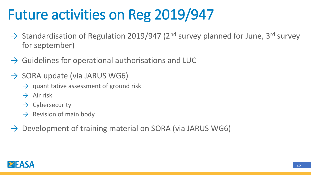# Future activities on Reg 2019/947

- $\rightarrow$  Standardisation of Regulation 2019/947 (2<sup>nd</sup> survey planned for June, 3<sup>rd</sup> survey for september)
- $\rightarrow$  Guidelines for operational authorisations and LUC
- $\rightarrow$  SORA update (via JARUS WG6)
	- $\rightarrow$  quantitative assessment of ground risk
	- $\rightarrow$  Air risk
	- $\rightarrow$  Cybersecurity
	- $\rightarrow$  Revision of main body
- $\rightarrow$  Development of training material on SORA (via JARUS WG6)

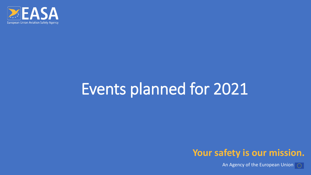

# Events planned for 2021



An Agency of the European Union  $\boxed{\circledcirc}$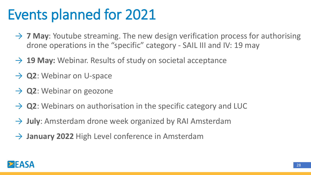# Events planned for 2021

- → 7 May: Youtube streaming. The new design verification process for authorising drone operations in the "specific" category - SAIL III and IV: 19 may
- → 19 May: Webinar. Results of study on societal acceptance
- → **Q2**: Webinar on U-space
- → **Q2**: Webinar on geozone
- $\rightarrow$  Q2: Webinars on authorisation in the specific category and LUC
- → **July**: Amsterdam drone week organized by RAI Amsterdam
- → **January 2022** High Level conference in Amsterdam